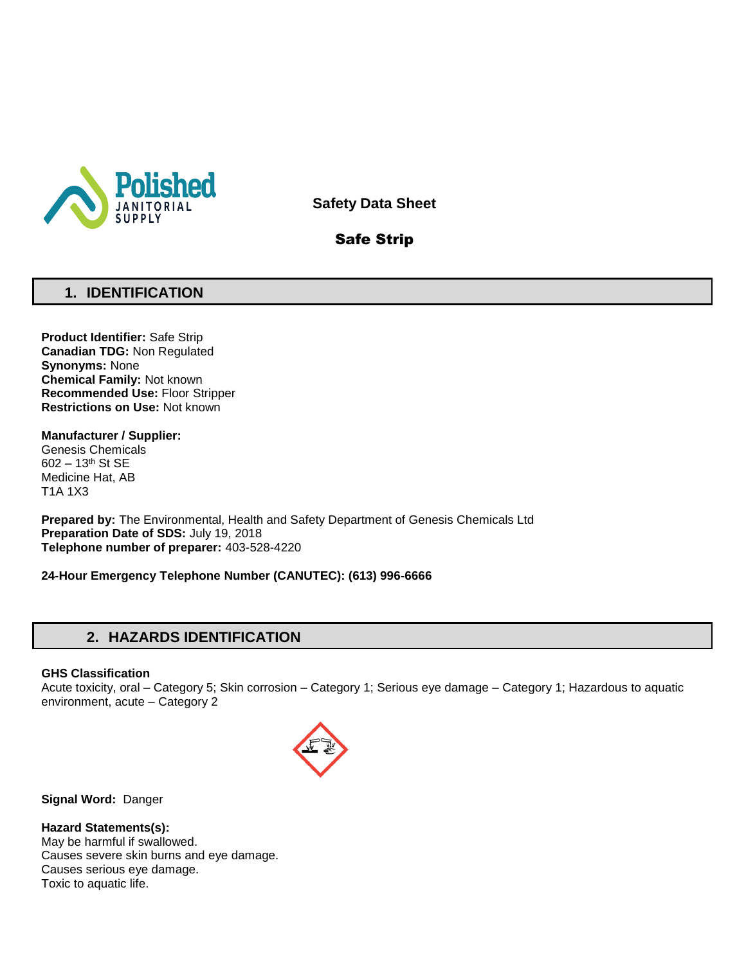

**Safety Data Sheet**

# Safe Strip

## **1. IDENTIFICATION**

**Product Identifier:** Safe Strip **Canadian TDG:** Non Regulated **Synonyms:** None **Chemical Family:** Not known **Recommended Use:** Floor Stripper **Restrictions on Use:** Not known

**Manufacturer / Supplier:**

Genesis Chemicals 602 – 13th St SE Medicine Hat, AB T1A 1X3

**Prepared by:** The Environmental, Health and Safety Department of Genesis Chemicals Ltd **Preparation Date of SDS:** July 19, 2018 **Telephone number of preparer:** 403-528-4220

**24-Hour Emergency Telephone Number (CANUTEC): (613) 996-6666**

# **2. HAZARDS IDENTIFICATION**

### **GHS Classification**

Acute toxicity, oral – Category 5; Skin corrosion – Category 1; Serious eye damage – Category 1; Hazardous to aquatic environment, acute – Category 2



**Signal Word:** Danger

**Hazard Statements(s):**

May be harmful if swallowed. Causes severe skin burns and eye damage. Causes serious eye damage. Toxic to aquatic life.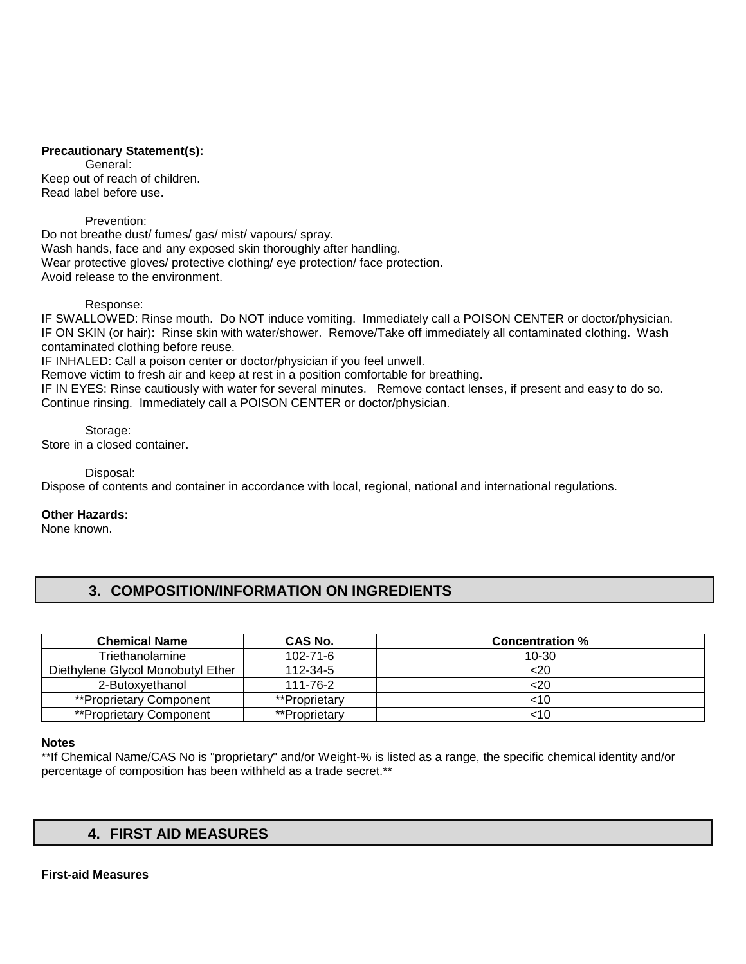### **Precautionary Statement(s):**

General: Keep out of reach of children. Read label before use.

Prevention:

Do not breathe dust/ fumes/ gas/ mist/ vapours/ spray. Wash hands, face and any exposed skin thoroughly after handling. Wear protective gloves/ protective clothing/ eye protection/ face protection. Avoid release to the environment.

Response:

IF SWALLOWED: Rinse mouth. Do NOT induce vomiting. Immediately call a POISON CENTER or doctor/physician. IF ON SKIN (or hair): Rinse skin with water/shower. Remove/Take off immediately all contaminated clothing. Wash contaminated clothing before reuse.

IF INHALED: Call a poison center or doctor/physician if you feel unwell.

Remove victim to fresh air and keep at rest in a position comfortable for breathing.

IF IN EYES: Rinse cautiously with water for several minutes. Remove contact lenses, if present and easy to do so. Continue rinsing. Immediately call a POISON CENTER or doctor/physician.

Storage: Store in a closed container.

Disposal:

Dispose of contents and container in accordance with local, regional, national and international regulations.

**Other Hazards:**

None known.

# **3. COMPOSITION/INFORMATION ON INGREDIENTS**

| <b>Chemical Name</b>              | CAS No.        | <b>Concentration %</b> |
|-----------------------------------|----------------|------------------------|
| Friethanolamine                   | $102 - 71 - 6$ | $10 - 30$              |
| Diethylene Glycol Monobutyl Ether | 112-34-5       | <20                    |
| 2-Butoxvethanol                   | 111-76-2       | <20                    |
| **Proprietary Component           | **Proprietary  | <10                    |
| **Proprietary Component           | **Proprietary  | <10                    |

### **Notes**

\*\*If Chemical Name/CAS No is "proprietary" and/or Weight-% is listed as a range, the specific chemical identity and/or percentage of composition has been withheld as a trade secret.\*\*

# **4. FIRST AID MEASURES**

### **First-aid Measures**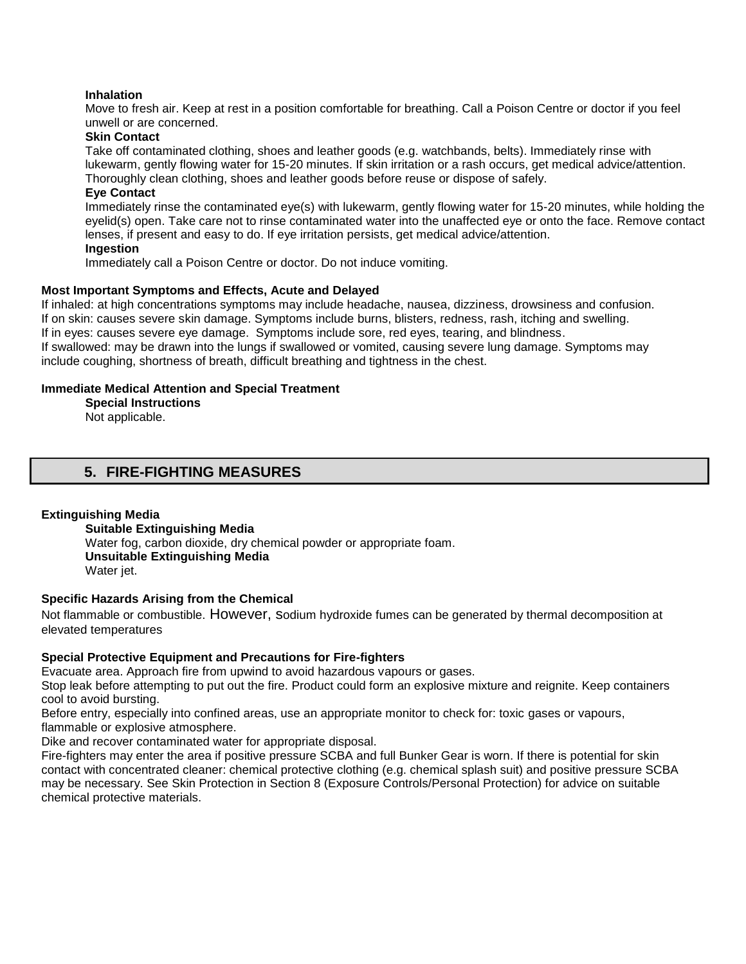### **Inhalation**

Move to fresh air. Keep at rest in a position comfortable for breathing. Call a Poison Centre or doctor if you feel unwell or are concerned.

### **Skin Contact**

Take off contaminated clothing, shoes and leather goods (e.g. watchbands, belts). Immediately rinse with lukewarm, gently flowing water for 15-20 minutes. If skin irritation or a rash occurs, get medical advice/attention. Thoroughly clean clothing, shoes and leather goods before reuse or dispose of safely.

### **Eye Contact**

Immediately rinse the contaminated eye(s) with lukewarm, gently flowing water for 15-20 minutes, while holding the eyelid(s) open. Take care not to rinse contaminated water into the unaffected eye or onto the face. Remove contact lenses, if present and easy to do. If eye irritation persists, get medical advice/attention.

### **Ingestion**

Immediately call a Poison Centre or doctor. Do not induce vomiting.

### **Most Important Symptoms and Effects, Acute and Delayed**

If inhaled: at high concentrations symptoms may include headache, nausea, dizziness, drowsiness and confusion. If on skin: causes severe skin damage. Symptoms include burns, blisters, redness, rash, itching and swelling.

If in eyes: causes severe eye damage. Symptoms include sore, red eyes, tearing, and blindness.

If swallowed: may be drawn into the lungs if swallowed or vomited, causing severe lung damage. Symptoms may include coughing, shortness of breath, difficult breathing and tightness in the chest.

### **Immediate Medical Attention and Special Treatment**

**Special Instructions**  Not applicable.

## **5. FIRE-FIGHTING MEASURES**

### **Extinguishing Media**

**Suitable Extinguishing Media** Water fog, carbon dioxide, dry chemical powder or appropriate foam. **Unsuitable Extinguishing Media**  Water iet.

### **Specific Hazards Arising from the Chemical**

Not flammable or combustible. However, sodium hydroxide fumes can be generated by thermal decomposition at elevated temperatures

#### **Special Protective Equipment and Precautions for Fire-fighters**

Evacuate area. Approach fire from upwind to avoid hazardous vapours or gases.

Stop leak before attempting to put out the fire. Product could form an explosive mixture and reignite. Keep containers cool to avoid bursting.

Before entry, especially into confined areas, use an appropriate monitor to check for: toxic gases or vapours, flammable or explosive atmosphere.

Dike and recover contaminated water for appropriate disposal.

Fire-fighters may enter the area if positive pressure SCBA and full Bunker Gear is worn. If there is potential for skin contact with concentrated cleaner: chemical protective clothing (e.g. chemical splash suit) and positive pressure SCBA may be necessary. See Skin Protection in Section 8 (Exposure Controls/Personal Protection) for advice on suitable chemical protective materials.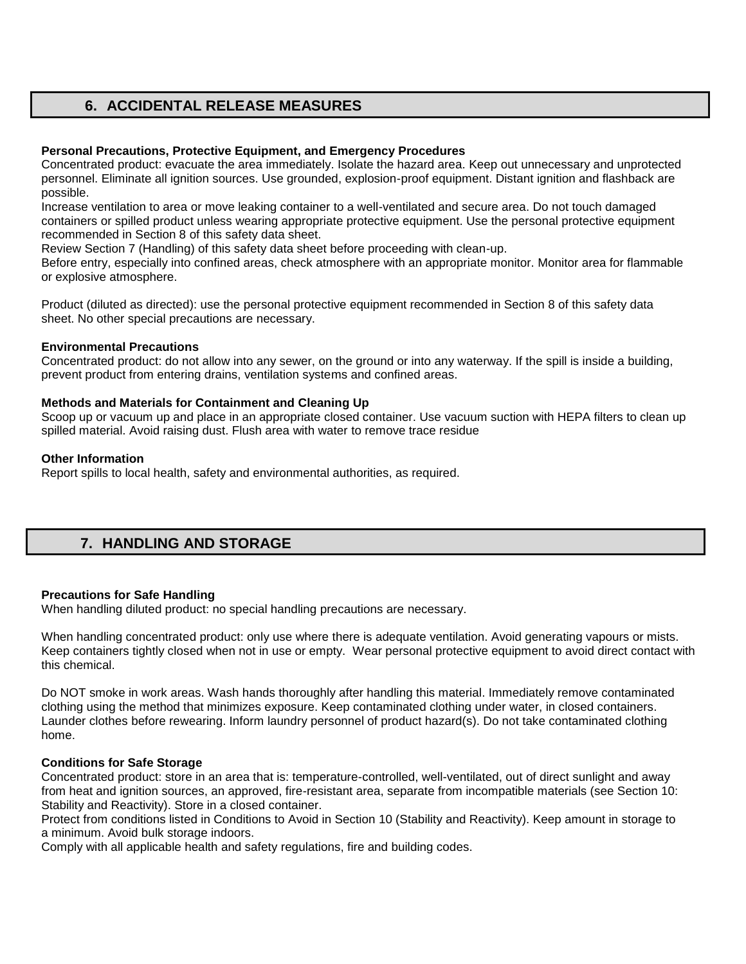# **6. ACCIDENTAL RELEASE MEASURES**

### **Personal Precautions, Protective Equipment, and Emergency Procedures**

Concentrated product: evacuate the area immediately. Isolate the hazard area. Keep out unnecessary and unprotected personnel. Eliminate all ignition sources. Use grounded, explosion-proof equipment. Distant ignition and flashback are possible.

Increase ventilation to area or move leaking container to a well-ventilated and secure area. Do not touch damaged containers or spilled product unless wearing appropriate protective equipment. Use the personal protective equipment recommended in Section 8 of this safety data sheet.

Review Section 7 (Handling) of this safety data sheet before proceeding with clean-up.

Before entry, especially into confined areas, check atmosphere with an appropriate monitor. Monitor area for flammable or explosive atmosphere.

Product (diluted as directed): use the personal protective equipment recommended in Section 8 of this safety data sheet. No other special precautions are necessary.

### **Environmental Precautions**

Concentrated product: do not allow into any sewer, on the ground or into any waterway. If the spill is inside a building, prevent product from entering drains, ventilation systems and confined areas.

### **Methods and Materials for Containment and Cleaning Up**

Scoop up or vacuum up and place in an appropriate closed container. Use vacuum suction with HEPA filters to clean up spilled material. Avoid raising dust. Flush area with water to remove trace residue

### **Other Information**

Report spills to local health, safety and environmental authorities, as required.

# **7. HANDLING AND STORAGE**

### **Precautions for Safe Handling**

When handling diluted product: no special handling precautions are necessary.

When handling concentrated product: only use where there is adequate ventilation. Avoid generating vapours or mists. Keep containers tightly closed when not in use or empty. Wear personal protective equipment to avoid direct contact with this chemical.

Do NOT smoke in work areas. Wash hands thoroughly after handling this material. Immediately remove contaminated clothing using the method that minimizes exposure. Keep contaminated clothing under water, in closed containers. Launder clothes before rewearing. Inform laundry personnel of product hazard(s). Do not take contaminated clothing home.

### **Conditions for Safe Storage**

Concentrated product: store in an area that is: temperature-controlled, well-ventilated, out of direct sunlight and away from heat and ignition sources, an approved, fire-resistant area, separate from incompatible materials (see Section 10: Stability and Reactivity). Store in a closed container.

Protect from conditions listed in Conditions to Avoid in Section 10 (Stability and Reactivity). Keep amount in storage to a minimum. Avoid bulk storage indoors.

Comply with all applicable health and safety regulations, fire and building codes.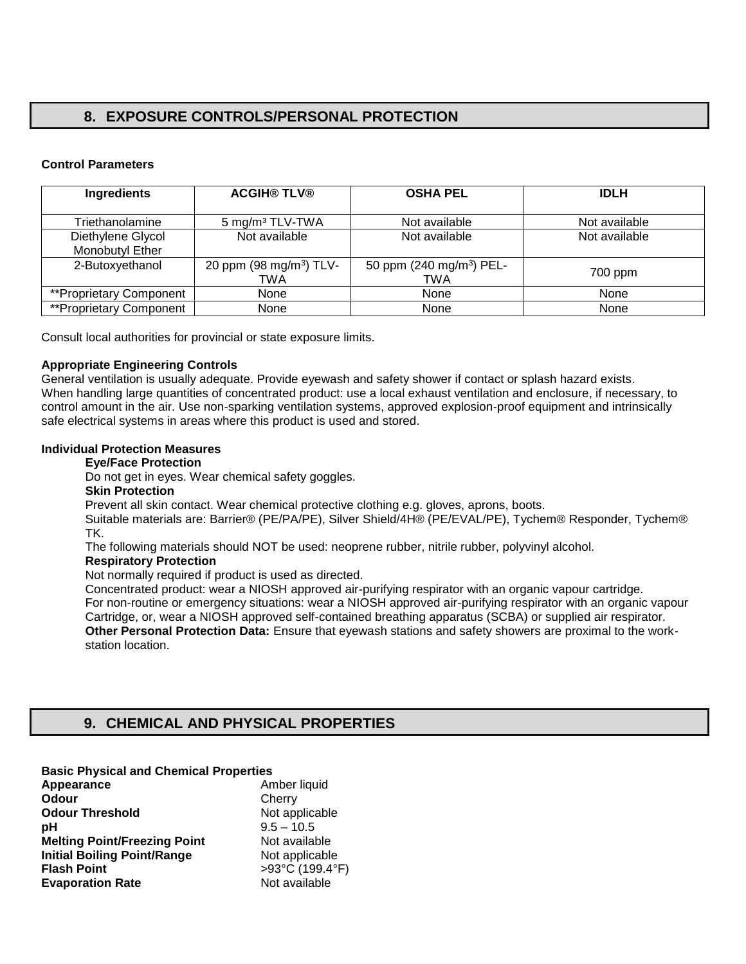# **8. EXPOSURE CONTROLS/PERSONAL PROTECTION**

### **Control Parameters**

| <b>Ingredients</b>      | <b>ACGIH® TLV®</b>                  | <b>OSHA PEL</b>                      | <b>IDLH</b>   |
|-------------------------|-------------------------------------|--------------------------------------|---------------|
|                         |                                     |                                      |               |
| Triethanolamine         | 5 mg/m <sup>3</sup> TLV-TWA         | Not available                        | Not available |
| Diethylene Glycol       | Not available                       | Not available                        | Not available |
| Monobutyl Ether         |                                     |                                      |               |
| 2-Butoxyethanol         | 20 ppm (98 mg/m <sup>3</sup> ) TLV- | 50 ppm (240 mg/m <sup>3</sup> ) PEL- |               |
|                         | TWA                                 | TWA                                  | 700 ppm       |
| **Proprietary Component | None                                | None                                 | None          |
| **Proprietary Component | None                                | None                                 | None          |

Consult local authorities for provincial or state exposure limits.

### **Appropriate Engineering Controls**

General ventilation is usually adequate. Provide eyewash and safety shower if contact or splash hazard exists. When handling large quantities of concentrated product: use a local exhaust ventilation and enclosure, if necessary, to control amount in the air. Use non-sparking ventilation systems, approved explosion-proof equipment and intrinsically safe electrical systems in areas where this product is used and stored.

### **Individual Protection Measures**

### **Eye/Face Protection**

Do not get in eyes. Wear chemical safety goggles.

### **Skin Protection**

Prevent all skin contact. Wear chemical protective clothing e.g. gloves, aprons, boots.

Suitable materials are: Barrier® (PE/PA/PE), Silver Shield/4H® (PE/EVAL/PE), Tychem® Responder, Tychem® TK.

The following materials should NOT be used: neoprene rubber, nitrile rubber, polyvinyl alcohol.

### **Respiratory Protection**

Not normally required if product is used as directed.

Concentrated product: wear a NIOSH approved air-purifying respirator with an organic vapour cartridge. For non-routine or emergency situations: wear a NIOSH approved air-purifying respirator with an organic vapour Cartridge, or, wear a NIOSH approved self-contained breathing apparatus (SCBA) or supplied air respirator. **Other Personal Protection Data:** Ensure that eyewash stations and safety showers are proximal to the workstation location.

# **9. CHEMICAL AND PHYSICAL PROPERTIES**

| <b>Basic Physical and Chemical Properties</b> |                 |
|-----------------------------------------------|-----------------|
| Appearance                                    | Amber liquid    |
| Odour                                         | Cherry          |
| <b>Odour Threshold</b>                        | Not applicable  |
| рH                                            | $9.5 - 10.5$    |
| <b>Melting Point/Freezing Point</b>           | Not available   |
| <b>Initial Boiling Point/Range</b>            | Not applicable  |
| <b>Flash Point</b>                            | >93°C (199.4°F) |
| <b>Evaporation Rate</b>                       | Not available   |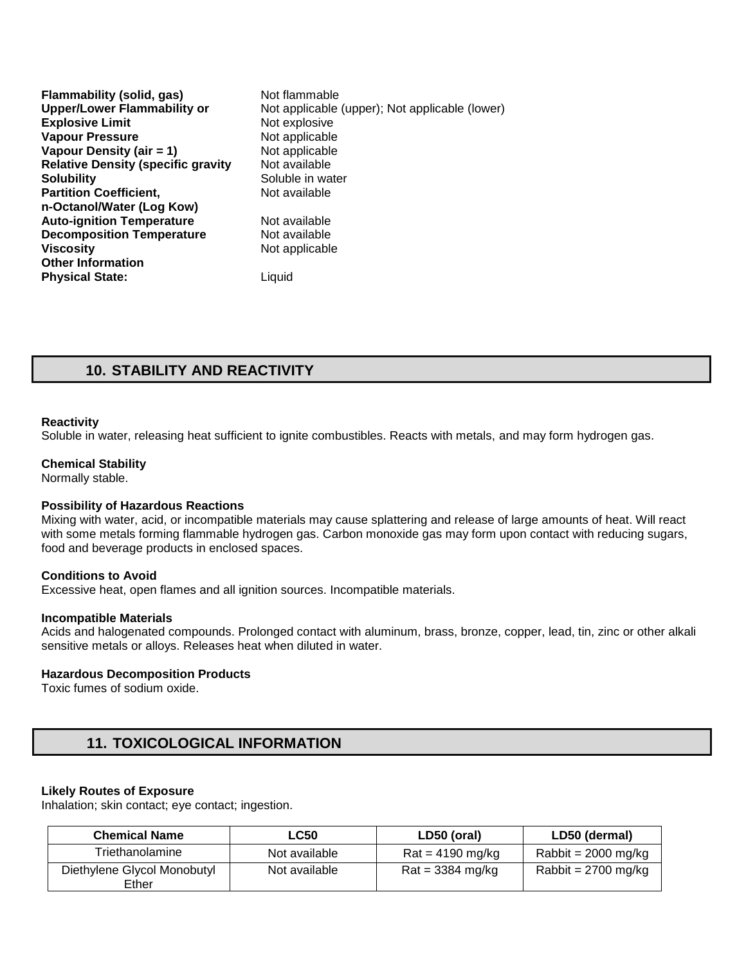| Flammability (solid, gas)                 | Not flammable                                  |
|-------------------------------------------|------------------------------------------------|
| <b>Upper/Lower Flammability or</b>        | Not applicable (upper); Not applicable (lower) |
| <b>Explosive Limit</b>                    | Not explosive                                  |
| <b>Vapour Pressure</b>                    | Not applicable                                 |
| Vapour Density (air = 1)                  | Not applicable                                 |
| <b>Relative Density (specific gravity</b> | Not available                                  |
| <b>Solubility</b>                         | Soluble in water                               |
| <b>Partition Coefficient,</b>             | Not available                                  |
| n-Octanol/Water (Log Kow)                 |                                                |
| <b>Auto-ignition Temperature</b>          | Not available                                  |
| <b>Decomposition Temperature</b>          | Not available                                  |
| <b>Viscosity</b>                          | Not applicable                                 |
| <b>Other Information</b>                  |                                                |
| <b>Physical State:</b>                    | Liauid                                         |

# **10. STABILITY AND REACTIVITY**

### **Reactivity**

Soluble in water, releasing heat sufficient to ignite combustibles. Reacts with metals, and may form hydrogen gas.

#### **Chemical Stability**

Normally stable.

### **Possibility of Hazardous Reactions**

Mixing with water, acid, or incompatible materials may cause splattering and release of large amounts of heat. Will react with some metals forming flammable hydrogen gas. Carbon monoxide gas may form upon contact with reducing sugars, food and beverage products in enclosed spaces.

### **Conditions to Avoid**

Excessive heat, open flames and all ignition sources. Incompatible materials.

#### **Incompatible Materials**

Acids and halogenated compounds. Prolonged contact with aluminum, brass, bronze, copper, lead, tin, zinc or other alkali sensitive metals or alloys. Releases heat when diluted in water.

#### **Hazardous Decomposition Products**

Toxic fumes of sodium oxide.

## **11. TOXICOLOGICAL INFORMATION**

### **Likely Routes of Exposure**

Inhalation; skin contact; eye contact; ingestion.

| <b>Chemical Name</b>                 | ∟C50          | LD50 (oral)                       | LD50 (dermal)                 |
|--------------------------------------|---------------|-----------------------------------|-------------------------------|
| Triethanolamine                      | Not available | $\text{Rat} = 4190 \text{ mg/kg}$ | Rabbit = $2000 \text{ mg/kg}$ |
| Diethylene Glycol Monobutyl<br>Ether | Not available | $Rat = 3384$ mg/kg                | Rabbit = $2700$ mg/kg         |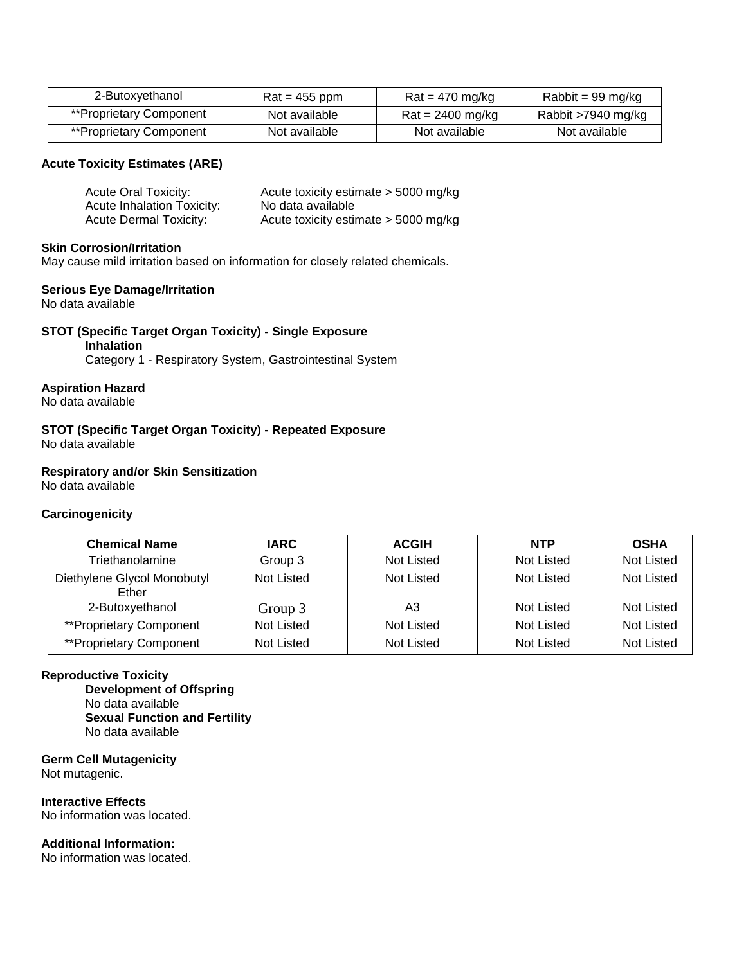| 2-Butoxyethanol         | $\text{Rat} = 455 \text{ ppm}$ | $\text{Rat} = 470 \text{ mg/kg}$  | Rabbit = 99 mg/kg  |
|-------------------------|--------------------------------|-----------------------------------|--------------------|
| **Proprietary Component | Not available                  | $\text{Rat} = 2400 \text{ mg/kg}$ | Rabbit >7940 mg/kg |
| **Proprietary Component | Not available                  | Not available                     | Not available      |

### **Acute Toxicity Estimates (ARE)**

| Acute Oral Toxicity:              | Acute toxicity estimate > 5000 mg/kg   |
|-----------------------------------|----------------------------------------|
| <b>Acute Inhalation Toxicity:</b> | No data available                      |
| <b>Acute Dermal Toxicity:</b>     | Acute toxicity estimate $>$ 5000 mg/kg |

### **Skin Corrosion/Irritation**

May cause mild irritation based on information for closely related chemicals.

### **Serious Eye Damage/Irritation**

No data available

### **STOT (Specific Target Organ Toxicity) - Single Exposure Inhalation**

Category 1 - Respiratory System, Gastrointestinal System

### **Aspiration Hazard**

No data available

**STOT (Specific Target Organ Toxicity) - Repeated Exposure**  No data available

### **Respiratory and/or Skin Sensitization**

No data available

### **Carcinogenicity**

| <b>Chemical Name</b>                 | <b>IARC</b>       | <b>ACGIH</b> | <b>NTP</b> | <b>OSHA</b>       |
|--------------------------------------|-------------------|--------------|------------|-------------------|
| Triethanolamine                      | Group 3           | Not Listed   | Not Listed | <b>Not Listed</b> |
| Diethylene Glycol Monobutyl<br>Ether | Not Listed        | Not Listed   | Not Listed | Not Listed        |
| 2-Butoxyethanol                      | Group 3           | A3           | Not Listed | Not Listed        |
| **Proprietary Component              | <b>Not Listed</b> | Not Listed   | Not Listed | <b>Not Listed</b> |
| **Proprietary Component              | Not Listed        | Not Listed   | Not Listed | <b>Not Listed</b> |

### **Reproductive Toxicity**

**Development of Offspring**  No data available **Sexual Function and Fertility**  No data available

**Germ Cell Mutagenicity**  Not mutagenic.

**Interactive Effects**  No information was located.

### **Additional Information:**

No information was located.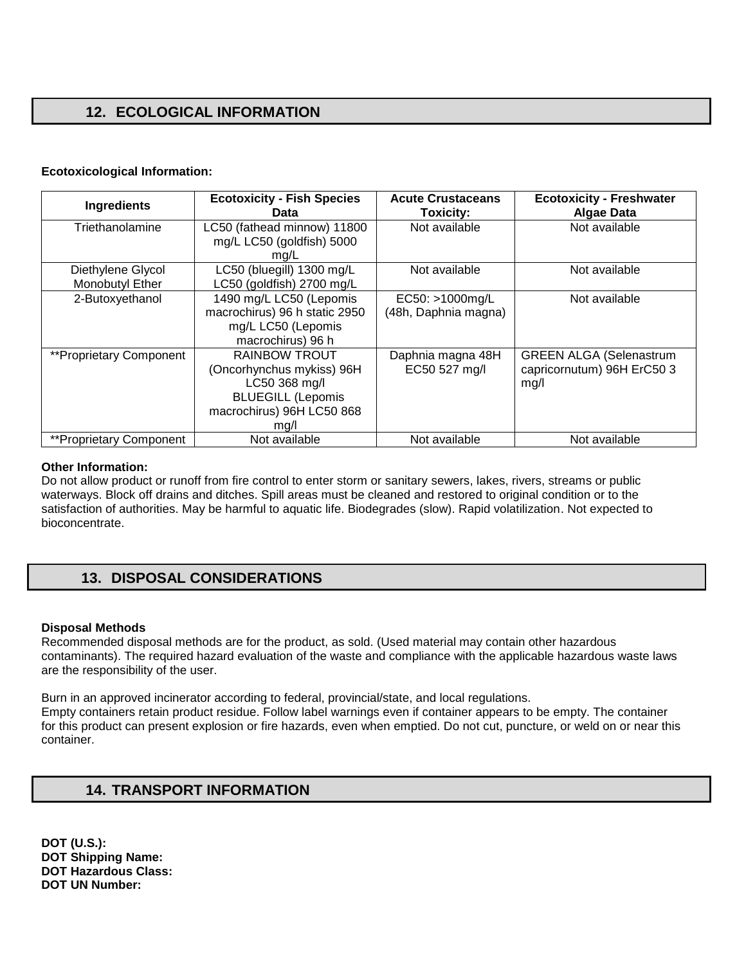# **12. ECOLOGICAL INFORMATION**

### **Ecotoxicological Information:**

| <b>Ingredients</b>             | <b>Ecotoxicity - Fish Species</b><br>Data | <b>Acute Crustaceans</b><br>Toxicity: | <b>Ecotoxicity - Freshwater</b><br><b>Algae Data</b> |
|--------------------------------|-------------------------------------------|---------------------------------------|------------------------------------------------------|
| Triethanolamine                | LC50 (fathead minnow) 11800               | Not available                         | Not available                                        |
|                                | mg/L LC50 (goldfish) 5000<br>mg/L         |                                       |                                                      |
| Diethylene Glycol              | LC50 (bluegill) 1300 mg/L                 | Not available                         | Not available                                        |
| Monobutyl Ether                | LC50 (goldfish) 2700 mg/L                 |                                       |                                                      |
| 2-Butoxyethanol                | 1490 mg/L LC50 (Lepomis                   | EC50: >1000mg/L                       | Not available                                        |
|                                | macrochirus) 96 h static 2950             | (48h, Daphnia magna)                  |                                                      |
|                                | mg/L LC50 (Lepomis                        |                                       |                                                      |
|                                | macrochirus) 96 h                         |                                       |                                                      |
| **Proprietary Component        | <b>RAINBOW TROUT</b>                      | Daphnia magna 48H                     | <b>GREEN ALGA (Selenastrum</b>                       |
|                                | (Oncorhynchus mykiss) 96H                 | EC50 527 mg/l                         | capricornutum) 96H ErC50 3                           |
|                                | LC50 368 mg/l                             |                                       | mg/l                                                 |
|                                | <b>BLUEGILL (Lepomis</b>                  |                                       |                                                      |
|                                | macrochirus) 96H LC50 868                 |                                       |                                                      |
|                                | mq/l                                      |                                       |                                                      |
| <b>**Proprietary Component</b> | Not available                             | Not available                         | Not available                                        |

### **Other Information:**

Do not allow product or runoff from fire control to enter storm or sanitary sewers, lakes, rivers, streams or public waterways. Block off drains and ditches. Spill areas must be cleaned and restored to original condition or to the satisfaction of authorities. May be harmful to aquatic life. Biodegrades (slow). Rapid volatilization. Not expected to bioconcentrate.

# **13. DISPOSAL CONSIDERATIONS**

### **Disposal Methods**

Recommended disposal methods are for the product, as sold. (Used material may contain other hazardous contaminants). The required hazard evaluation of the waste and compliance with the applicable hazardous waste laws are the responsibility of the user.

Burn in an approved incinerator according to federal, provincial/state, and local regulations. Empty containers retain product residue. Follow label warnings even if container appears to be empty. The container for this product can present explosion or fire hazards, even when emptied. Do not cut, puncture, or weld on or near this container.

## **14. TRANSPORT INFORMATION**

**DOT (U.S.): DOT Shipping Name: DOT Hazardous Class: DOT UN Number:**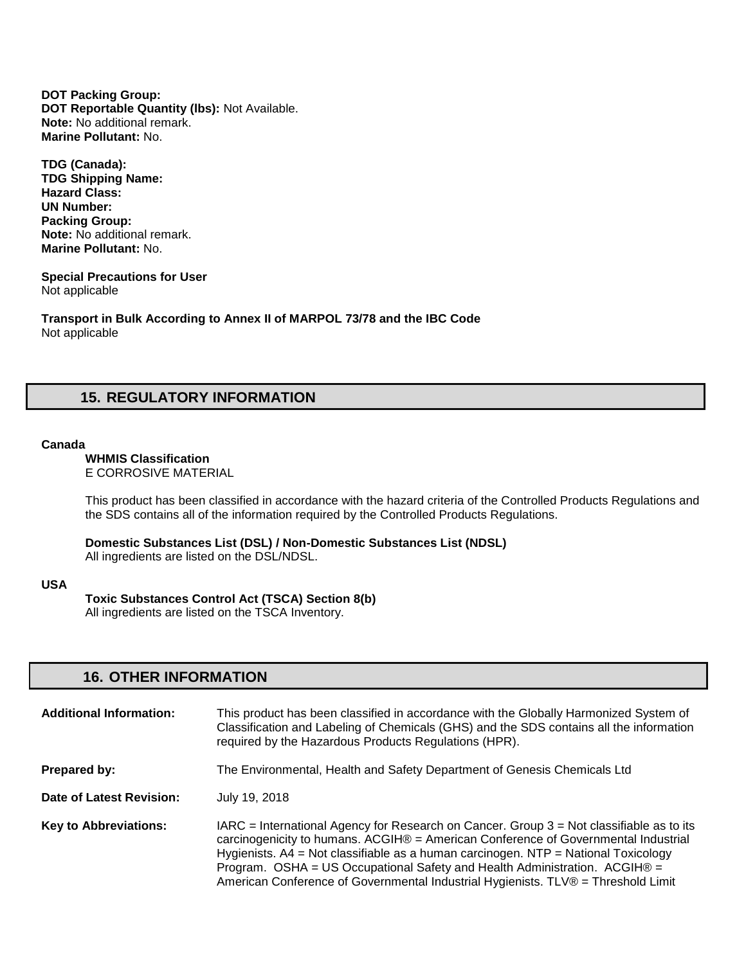**DOT Packing Group: DOT Reportable Quantity (lbs):** Not Available. **Note:** No additional remark. **Marine Pollutant:** No.

**TDG (Canada): TDG Shipping Name: Hazard Class: UN Number: Packing Group: Note:** No additional remark. **Marine Pollutant:** No.

#### **Special Precautions for User** Not applicable

**Transport in Bulk According to Annex II of MARPOL 73/78 and the IBC Code**  Not applicable

# **15. REGULATORY INFORMATION**

### **Canada**

**WHMIS Classification**  E CORROSIVE MATERIAL

This product has been classified in accordance with the hazard criteria of the Controlled Products Regulations and the SDS contains all of the information required by the Controlled Products Regulations.

**Domestic Substances List (DSL) / Non-Domestic Substances List (NDSL)**  All ingredients are listed on the DSL/NDSL.

#### **USA**

**Toxic Substances Control Act (TSCA) Section 8(b)** 

All ingredients are listed on the TSCA Inventory.

## **16. OTHER INFORMATION**

| <b>Additional Information:</b> | This product has been classified in accordance with the Globally Harmonized System of<br>Classification and Labeling of Chemicals (GHS) and the SDS contains all the information<br>required by the Hazardous Products Regulations (HPR).                                                                                                                                                                                                    |
|--------------------------------|----------------------------------------------------------------------------------------------------------------------------------------------------------------------------------------------------------------------------------------------------------------------------------------------------------------------------------------------------------------------------------------------------------------------------------------------|
| Prepared by:                   | The Environmental, Health and Safety Department of Genesis Chemicals Ltd                                                                                                                                                                                                                                                                                                                                                                     |
| Date of Latest Revision:       | July 19, 2018                                                                                                                                                                                                                                                                                                                                                                                                                                |
| <b>Key to Abbreviations:</b>   | $IARC = International Agency for Research on Cancer. Group 3 = Not classified be as to its$<br>carcinogenicity to humans. ACGIH® = American Conference of Governmental Industrial<br>Hygienists. A4 = Not classifiable as a human carcinogen. NTP = National Toxicology<br>Program. OSHA = US Occupational Safety and Health Administration. $ACGIH@ =$<br>American Conference of Governmental Industrial Hygienists. TLV® = Threshold Limit |